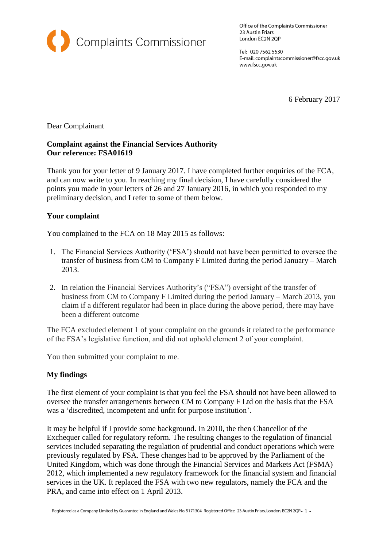

Office of the Complaints Commissioner 23 Austin Friars London EC2N 2QP

Tel: 020 7562 5530 E-mail: complaintscommissioner@fscc.gov.uk www.fscc.gov.uk

6 February 2017

Dear Complainant

## **Complaint against the Financial Services Authority Our reference: FSA01619**

Thank you for your letter of 9 January 2017. I have completed further enquiries of the FCA, and can now write to you. In reaching my final decision, I have carefully considered the points you made in your letters of 26 and 27 January 2016, in which you responded to my preliminary decision, and I refer to some of them below.

## **Your complaint**

You complained to the FCA on 18 May 2015 as follows:

- 1. The Financial Services Authority ('FSA') should not have been permitted to oversee the transfer of business from CM to Company F Limited during the period January – March 2013.
- 2. In relation the Financial Services Authority's ("FSA") oversight of the transfer of business from CM to Company F Limited during the period January – March 2013, you claim if a different regulator had been in place during the above period, there may have been a different outcome

The FCA excluded element 1 of your complaint on the grounds it related to the performance of the FSA's legislative function, and did not uphold element 2 of your complaint.

You then submitted your complaint to me.

## **My findings**

The first element of your complaint is that you feel the FSA should not have been allowed to oversee the transfer arrangements between CM to Company F Ltd on the basis that the FSA was a 'discredited, incompetent and unfit for purpose institution'.

It may be helpful if I provide some background. In 2010, the then Chancellor of the Exchequer called for regulatory reform. The resulting changes to the regulation of financial services included separating the regulation of prudential and conduct operations which were previously regulated by FSA. These changes had to be approved by the Parliament of the United Kingdom, which was done through the Financial Services and Markets Act (FSMA) 2012, which implemented a new regulatory framework for the [financial system](https://en.wikipedia.org/wiki/Financial_system) and [financial](https://en.wikipedia.org/wiki/Financial_services)  [services](https://en.wikipedia.org/wiki/Financial_services) in the UK. It replaced the FSA with two new regulators, namely the FCA and the PRA, and came into effect on 1 April 2013.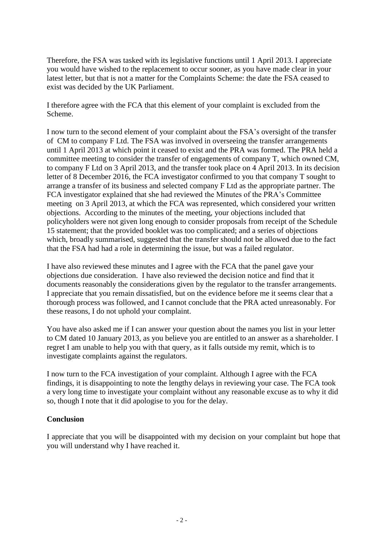Therefore, the FSA was tasked with its legislative functions until 1 April 2013. I appreciate you would have wished to the replacement to occur sooner, as you have made clear in your latest letter, but that is not a matter for the Complaints Scheme: the date the FSA ceased to exist was decided by the UK Parliament.

I therefore agree with the FCA that this element of your complaint is excluded from the Scheme.

I now turn to the second element of your complaint about the FSA's oversight of the transfer of CM to company F Ltd. The FSA was involved in overseeing the transfer arrangements until 1 April 2013 at which point it ceased to exist and the PRA was formed. The PRA held a committee meeting to consider the transfer of engagements of company T, which owned CM, to company F Ltd on 3 April 2013, and the transfer took place on 4 April 2013. In its decision letter of 8 December 2016, the FCA investigator confirmed to you that company T sought to arrange a transfer of its business and selected company F Ltd as the appropriate partner. The FCA investigator explained that she had reviewed the Minutes of the PRA's Committee meeting on 3 April 2013, at which the FCA was represented, which considered your written objections. According to the minutes of the meeting, your objections included that policyholders were not given long enough to consider proposals from receipt of the Schedule 15 statement; that the provided booklet was too complicated; and a series of objections which, broadly summarised, suggested that the transfer should not be allowed due to the fact that the FSA had had a role in determining the issue, but was a failed regulator.

I have also reviewed these minutes and I agree with the FCA that the panel gave your objections due consideration. I have also reviewed the decision notice and find that it documents reasonably the considerations given by the regulator to the transfer arrangements. I appreciate that you remain dissatisfied, but on the evidence before me it seems clear that a thorough process was followed, and I cannot conclude that the PRA acted unreasonably. For these reasons, I do not uphold your complaint.

You have also asked me if I can answer your question about the names you list in your letter to CM dated 10 January 2013, as you believe you are entitled to an answer as a shareholder. I regret I am unable to help you with that query, as it falls outside my remit, which is to investigate complaints against the regulators.

I now turn to the FCA investigation of your complaint. Although I agree with the FCA findings, it is disappointing to note the lengthy delays in reviewing your case. The FCA took a very long time to investigate your complaint without any reasonable excuse as to why it did so, though I note that it did apologise to you for the delay.

## **Conclusion**

I appreciate that you will be disappointed with my decision on your complaint but hope that you will understand why I have reached it.